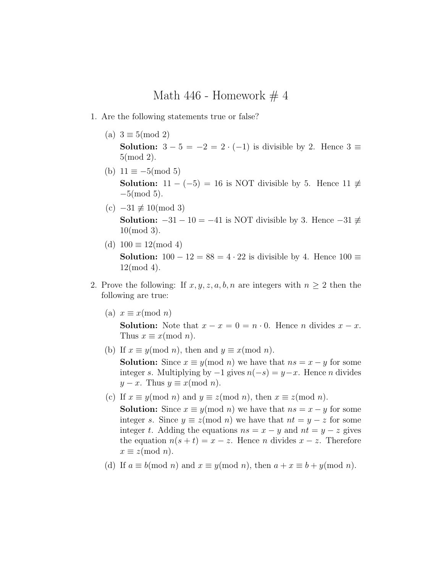Math 446 - Homework  $\#$  4

- 1. Are the following statements true or false?
	- (a)  $3 \equiv 5 \pmod{2}$ Solution:  $3-5=-2=2\cdot(-1)$  is divisible by 2. Hence  $3\equiv$ 5(mod 2).
	- (b)  $11 \equiv -5 \pmod{5}$ **Solution:**  $11 - (-5) = 16$  is NOT divisible by 5. Hence  $11 \neq$  $-5 \pmod{5}$ .
	- $(c)$  –31  $\not\equiv$  10(mod 3) Solution:  $-31 - 10 = -41$  is NOT divisible by 3. Hence  $-31 \neq$ 10(mod 3).
	- (d)  $100 \equiv 12 \pmod{4}$ **Solution:**  $100 - 12 = 88 = 4 \cdot 22$  is divisible by 4. Hence  $100 \equiv$ 12(mod 4).
- 2. Prove the following: If  $x, y, z, a, b, n$  are integers with  $n \geq 2$  then the following are true:
	- (a)  $x \equiv x \pmod{n}$

**Solution:** Note that  $x - x = 0 = n \cdot 0$ . Hence *n* divides  $x - x$ . Thus  $x \equiv x \pmod{n}$ .

- (b) If  $x \equiv y \pmod{n}$ , then and  $y \equiv x \pmod{n}$ . **Solution:** Since  $x \equiv y \pmod{n}$  we have that  $ns = x - y$  for some integer s. Multiplying by  $-1$  gives  $n(-s) = y - x$ . Hence *n* divides  $y - x$ . Thus  $y \equiv x \pmod{n}$ .
- (c) If  $x \equiv y \pmod{n}$  and  $y \equiv z \pmod{n}$ , then  $x \equiv z \pmod{n}$ .

**Solution:** Since  $x \equiv y \pmod{n}$  we have that  $ns = x - y$  for some integer s. Since  $y \equiv z \pmod{n}$  we have that  $nt = y - z$  for some integer t. Adding the equations  $ns = x - y$  and  $nt = y - z$  gives the equation  $n(s + t) = x - z$ . Hence *n* divides  $x - z$ . Therefore  $x \equiv z \pmod{n}$ .

(d) If  $a \equiv b \pmod{n}$  and  $x \equiv y \pmod{n}$ , then  $a + x \equiv b + y \pmod{n}$ .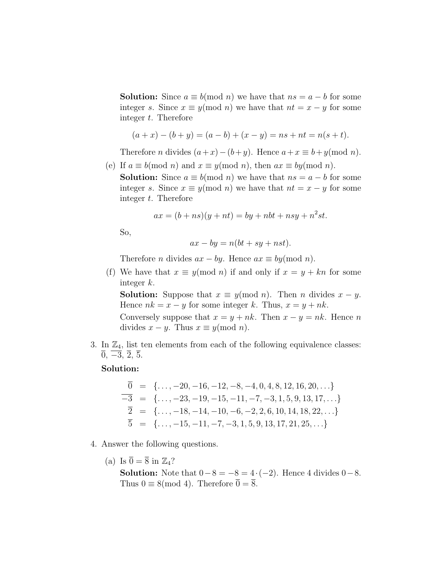**Solution:** Since  $a \equiv b \pmod{n}$  we have that  $ns = a - b$  for some integer s. Since  $x \equiv y \pmod{n}$  we have that  $nt = x - y$  for some integer t. Therefore

$$
(a+x) - (b + y) = (a - b) + (x - y) = ns + nt = n(s + t).
$$

Therefore *n* divides  $(a+x)-(b+y)$ . Hence  $a+x \equiv b+y \pmod{n}$ .

(e) If  $a \equiv b \pmod{n}$  and  $x \equiv y \pmod{n}$ , then  $ax \equiv by \pmod{n}$ .

**Solution:** Since  $a \equiv b \pmod{n}$  we have that  $ns = a - b$  for some integer s. Since  $x \equiv y \pmod{n}$  we have that  $nt = x - y$  for some integer t. Therefore

$$
ax = (b + ns)(y + nt) = by + nbt + nsy + n2st.
$$

So,

$$
ax - by = n(bt + sy + nst).
$$

Therefore *n* divides  $ax - by$ . Hence  $ax \equiv by (mod n)$ .

(f) We have that  $x \equiv y \pmod{n}$  if and only if  $x = y + kn$  for some integer k.

**Solution:** Suppose that  $x \equiv y \pmod{n}$ . Then *n* divides  $x - y$ . Hence  $nk = x - y$  for some integer k. Thus,  $x = y + nk$ . Conversely suppose that  $x = y + nk$ . Then  $x - y = nk$ . Hence n

divides  $x - y$ . Thus  $x \equiv y \pmod{n}$ .

3. In  $\mathbb{Z}_4$ , list ten elements from each of the following equivalence classes:  $\overline{0}$ ,  $\overline{-3}$ ,  $\overline{2}$ ,  $\overline{5}$ .

## Solution:

$$
\begin{array}{rcl}\n\overline{0} & = & \{ \ldots, -20, -16, -12, -8, -4, 0, 4, 8, 12, 16, 20, \ldots \} \\
\overline{-3} & = & \{ \ldots, -23, -19, -15, -11, -7, -3, 1, 5, 9, 13, 17, \ldots \} \\
\overline{2} & = & \{ \ldots, -18, -14, -10, -6, -2, 2, 6, 10, 14, 18, 22, \ldots \} \\
\overline{5} & = & \{ \ldots, -15, -11, -7, -3, 1, 5, 9, 13, 17, 21, 25, \ldots \}\n\end{array}
$$

- 4. Answer the following questions.
	- (a) Is  $\overline{0} = \overline{8}$  in  $\mathbb{Z}_4$ ?

**Solution:** Note that  $0-8=-8=4\cdot(-2)$ . Hence 4 divides  $0-8$ . Thus  $0 \equiv 8 \pmod{4}$ . Therefore  $\overline{0} = \overline{8}$ .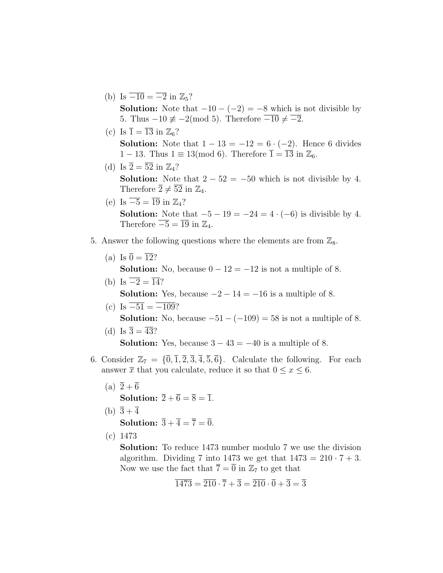- (b) Is  $\overline{-10} = \overline{-2}$  in  $\mathbb{Z}_5$ ? **Solution:** Note that  $-10 - (-2) = -8$  which is not divisible by 5. Thus  $-10 \neq -2 \pmod{5}$ . Therefore  $\overline{-10} \neq \overline{-2}$ .
- (c) Is  $\overline{1} = \overline{13}$  in  $\mathbb{Z}_6$ ? **Solution:** Note that  $1 - 13 = -12 = 6 \cdot (-2)$ . Hence 6 divides  $1-13$ . Thus  $1 \equiv 13 \pmod{6}$ . Therefore  $\overline{1} = \overline{13}$  in  $\mathbb{Z}_6$ .
- (d) Is  $\overline{2} = \overline{52}$  in  $\mathbb{Z}_4$ ? **Solution:** Note that  $2 - 52 = -50$  which is not divisible by 4. Therefore  $\overline{2} \neq \overline{52}$  in  $\mathbb{Z}_4$ .
- (e) Is  $\overline{-5} = \overline{19}$  in  $\mathbb{Z}_4$ ? **Solution:** Note that  $-5 - 19 = -24 = 4 \cdot (-6)$  is divisible by 4. Therefore  $\overline{-5} = \overline{19}$  in  $\mathbb{Z}_4$ .
- 5. Answer the following questions where the elements are from  $\mathbb{Z}_8$ .
	- (a) Is  $\overline{0} = \overline{12}$ ?

**Solution:** No, because  $0 - 12 = -12$  is not a multiple of 8.

- (b) Is  $\overline{-2} = \overline{14}$ ? **Solution:** Yes, because  $-2 - 14 = -16$  is a multiple of 8.
- (c) Is  $\overline{-51} = \overline{-109}$ ? **Solution:** No, because  $-51 - (-109) = 58$  is not a multiple of 8.
- (d) Is  $\overline{3} = \overline{43}$ ? **Solution:** Yes, because  $3 - 43 = -40$  is a multiple of 8.
- 6. Consider  $\mathbb{Z}_7 = {\overline{0}, \overline{1}, \overline{2}, \overline{3}, \overline{4}, \overline{5}, \overline{6}}$ . Calculate the following. For each answer  $\overline{x}$  that you calculate, reduce it so that  $0 \le x \le 6$ .
	- (a)  $\overline{2} + \overline{6}$ Solution:  $\overline{2} + \overline{6} = \overline{8} = \overline{1}$ .
	- (b)  $\overline{3} + \overline{4}$ Solution:  $\overline{3} + \overline{4} = \overline{7} = \overline{0}$ .
	- (c) 1473

Solution: To reduce 1473 number modulo 7 we use the division algorithm. Dividing 7 into 1473 we get that  $1473 = 210 \cdot 7 + 3$ . Now we use the fact that  $\overline{7} = \overline{0}$  in  $\mathbb{Z}_7$  to get that

$$
\overline{1473} = \overline{210} \cdot \overline{7} + \overline{3} = \overline{210} \cdot \overline{0} + \overline{3} = \overline{3}
$$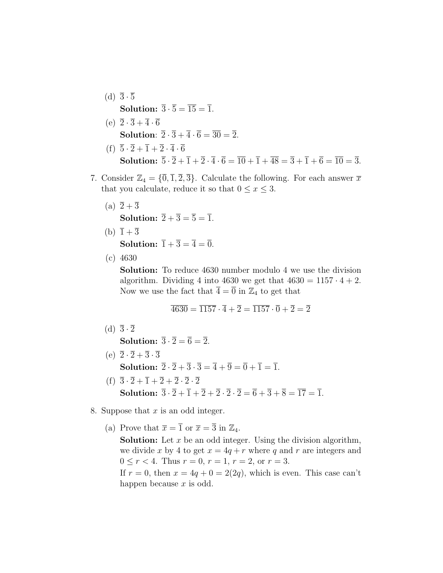- (d)  $\overline{3}\cdot\overline{5}$ Solution:  $\overline{3} \cdot \overline{5} = \overline{15} = \overline{1}$ .
- (e)  $\overline{2}\cdot\overline{3}+\overline{4}\cdot\overline{6}$ **Solution:**  $\overline{2} \cdot \overline{3} + \overline{4} \cdot \overline{6} = \overline{30} = \overline{2}$ . (f)  $\overline{5}\cdot\overline{2} + \overline{1} + \overline{2}\cdot\overline{4}\cdot\overline{6}$ **Solution:**  $\overline{5} \cdot \overline{2} + \overline{1} + \overline{2} \cdot \overline{4} \cdot \overline{6} = \overline{10} + \overline{1} + \overline{48} = \overline{3} + \overline{1} + \overline{6} = \overline{10} = \overline{3}$ .
- 7. Consider  $\mathbb{Z}_4 = {\overline{0}, \overline{1}, \overline{2}, \overline{3}}$ . Calculate the following. For each answer  $\overline{x}$ that you calculate, reduce it so that  $0 \le x \le 3$ .
	- (a)  $\overline{2} + \overline{3}$ Solution:  $\overline{2} + \overline{3} = \overline{5} = \overline{1}$ .
	- (b)  $1 + 3$ Solution:  $\overline{1} + \overline{3} = \overline{4} = \overline{0}$ .
	- (c) 4630

Solution: To reduce 4630 number modulo 4 we use the division algorithm. Dividing 4 into 4630 we get that  $4630 = 1157 \cdot 4 + 2$ . Now we use the fact that  $\overline{4} = \overline{0}$  in  $\mathbb{Z}_4$  to get that

$$
\overline{4630} = \overline{1157} \cdot \overline{4} + \overline{2} = \overline{1157} \cdot \overline{0} + \overline{2} = \overline{2}
$$

(d)  $\overline{3}\cdot\overline{2}$ 

Solution:  $\overline{3} \cdot \overline{2} = \overline{6} = \overline{2}$ .

- (e)  $\overline{2}\cdot\overline{2}+\overline{3}\cdot\overline{3}$ Solution:  $\overline{2} \cdot \overline{2} + \overline{3} \cdot \overline{3} = \overline{4} + \overline{9} = \overline{0} + \overline{1} = \overline{1}$ .
- (f)  $\overline{3}\cdot\overline{2} + \overline{1} + \overline{2} + \overline{2} \cdot \overline{2} \cdot \overline{2}$ **Solution:**  $\overline{3} \cdot \overline{2} + \overline{1} + \overline{2} + \overline{2} \cdot \overline{2} - \overline{2} = \overline{6} + \overline{3} + \overline{8} = \overline{17} = \overline{1}$ .
- 8. Suppose that  $x$  is an odd integer.
	- (a) Prove that  $\overline{x} = \overline{1}$  or  $\overline{x} = \overline{3}$  in  $\mathbb{Z}_4$ .

**Solution:** Let  $x$  be an odd integer. Using the division algorithm, we divide x by 4 to get  $x = 4q + r$  where q and r are integers and  $0 \le r < 4$ . Thus  $r = 0$ ,  $r = 1$ ,  $r = 2$ , or  $r = 3$ .

If  $r = 0$ , then  $x = 4q + 0 = 2(2q)$ , which is even. This case can't happen because  $x$  is odd.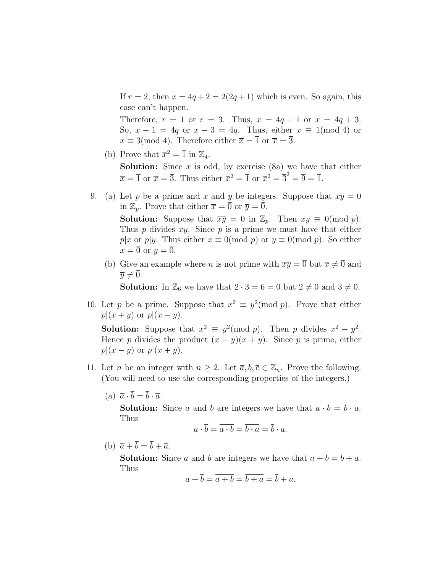If  $r = 2$ , then  $x = 4q + 2 = 2(2q + 1)$  which is even. So again, this case can't happen.

Therefore,  $r = 1$  or  $r = 3$ . Thus,  $x = 4q + 1$  or  $x = 4q + 3$ . So,  $x - 1 = 4q$  or  $x - 3 = 4q$ . Thus, either  $x \equiv 1 \pmod{4}$  or  $x \equiv 3 \pmod{4}$ . Therefore either  $\overline{x} = \overline{1}$  or  $\overline{x} = \overline{3}$ .

(b) Prove that  $\overline{x}^2 = \overline{1}$  in  $\mathbb{Z}_4$ .

**Solution:** Since  $x$  is odd, by exercise (8a) we have that either  $\overline{x} = \overline{1}$  or  $\overline{x} = \overline{3}$ . Thus either  $\overline{x}^2 = \overline{1}$  or  $\overline{x}^2 = \overline{3}^2 = \overline{9} = \overline{1}$ .

- 9. (a) Let p be a prime and x and y be integers. Suppose that  $\overline{xy} = \overline{0}$ in  $\mathbb{Z}_p$ . Prove that either  $\overline{x} = \overline{0}$  or  $\overline{y} = \overline{0}$ . **Solution:** Suppose that  $\overline{xy} = \overline{0}$  in  $\mathbb{Z}_p$ . Then  $xy \equiv 0 \pmod{p}$ . Thus  $p$  divides  $xy$ . Since  $p$  is a prime we must have that either p|x or p|y. Thus either  $x \equiv 0 \pmod{p}$  or  $y \equiv 0 \pmod{p}$ . So either  $\overline{x} = \overline{0}$  or  $\overline{y} = \overline{0}$ .
	- (b) Give an example where *n* is not prime with  $\overline{xy} = \overline{0}$  but  $\overline{x} \neq \overline{0}$  and  $\overline{y} \neq 0.$

**Solution:** In  $\mathbb{Z}_6$  we have that  $\overline{2} \cdot \overline{3} = \overline{6} = \overline{0}$  but  $\overline{2} \neq \overline{0}$  and  $\overline{3} \neq \overline{0}$ .

10. Let p be a prime. Suppose that  $x^2 \equiv y^2 \pmod{p}$ . Prove that either  $p|(x + y)$  or  $p|(x - y)$ .

**Solution:** Suppose that  $x^2 \equiv y^2 \pmod{p}$ . Then p divides  $x^2 - y^2$ . Hence p divides the product  $(x - y)(x + y)$ . Since p is prime, either  $p|(x-y)$  or  $p|(x+y)$ .

- 11. Let *n* be an integer with  $n \geq 2$ . Let  $\overline{a}, \overline{b}, \overline{c} \in \mathbb{Z}_n$ . Prove the following. (You will need to use the corresponding properties of the integers.)
	- (a)  $\overline{a} \cdot \overline{b} = \overline{b} \cdot \overline{a}$ .

**Solution:** Since a and b are integers we have that  $a \cdot b = b \cdot a$ . Thus

$$
\overline{a} \cdot \overline{b} = \overline{a \cdot b} = \overline{b \cdot a} = \overline{b} \cdot \overline{a}.
$$

(b)  $\overline{a} + \overline{b} = \overline{b} + \overline{a}$ .

**Solution:** Since a and b are integers we have that  $a + b = b + a$ . Thus

$$
\overline{a} + \overline{b} = \overline{a+b} = \overline{b+a} = \overline{b} + \overline{a}.
$$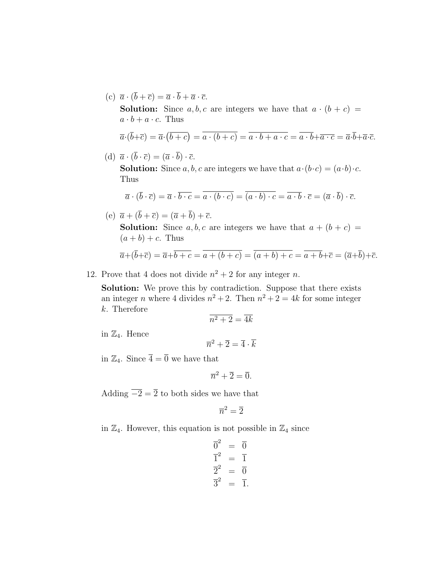(c)  $\overline{a} \cdot (\overline{b} + \overline{c}) = \overline{a} \cdot \overline{b} + \overline{a} \cdot \overline{c}.$ **Solution:** Since  $a, b, c$  are integers we have that  $a \cdot (b + c) =$  $a \cdot b + a \cdot c$ . Thus

$$
\overline{a}\cdot(\overline{b}+\overline{c})=\overline{a}\cdot(\overline{b+c})=\overline{a\cdot(b+c)}=\overline{a\cdot b+a\cdot c}=\overline{a\cdot b}+\overline{a\cdot c}=\overline{a}\cdot\overline{b}+\overline{a}\cdot\overline{c}.
$$

(d)  $\overline{a} \cdot (\overline{b} \cdot \overline{c}) = (\overline{a} \cdot \overline{b}) \cdot \overline{c}.$ 

**Solution:** Since a, b, c are integers we have that  $a \cdot (b \cdot c) = (a \cdot b) \cdot c$ . Thus

$$
\overline{a} \cdot (\overline{b} \cdot \overline{c}) = \overline{a} \cdot \overline{b \cdot c} = \overline{a \cdot (b \cdot c)} = \overline{(a \cdot b) \cdot c} = \overline{a \cdot b} \cdot \overline{c} = (\overline{a} \cdot \overline{b}) \cdot \overline{c}.
$$

(e)  $\overline{a} + (\overline{b} + \overline{c}) = (\overline{a} + \overline{b}) + \overline{c}.$ 

**Solution:** Since a, b, c are integers we have that  $a + (b + c) =$  $(a + b) + c$ . Thus

$$
\overline{a} + (\overline{b} + \overline{c}) = \overline{a} + \overline{b + c} = \overline{a + (b + c)} = \overline{(a + b) + c} = \overline{a + b} + \overline{c} = (\overline{a} + \overline{b}) + \overline{c}.
$$

12. Prove that 4 does not divide  $n^2 + 2$  for any integer n.

Solution: We prove this by contradiction. Suppose that there exists an integer *n* where 4 divides  $n^2 + 2$ . Then  $n^2 + 2 = 4k$  for some integer k. Therefore

$$
\overline{n^2+2} = \overline{4k}
$$

in  $\mathbb{Z}_4$ . Hence

$$
\overline{n}^2+\overline{2}=\overline{4}\cdot \overline{k}
$$

in  $\mathbb{Z}_4$ . Since  $\overline{4} = \overline{0}$  we have that

$$
\overline{n}^2 + \overline{2} = \overline{0}.
$$

Adding  $\overline{-2} = \overline{2}$  to both sides we have that

$$
\overline{n}^2 = \overline{2}
$$

in  $\mathbb{Z}_4$ . However, this equation is not possible in  $\mathbb{Z}_4$  since

$$
\overline{0}^2 = \overline{0}
$$
  

$$
\overline{1}^2 = \overline{1}
$$
  

$$
\overline{2}^2 = \overline{0}
$$
  

$$
\overline{3}^2 = \overline{1}.
$$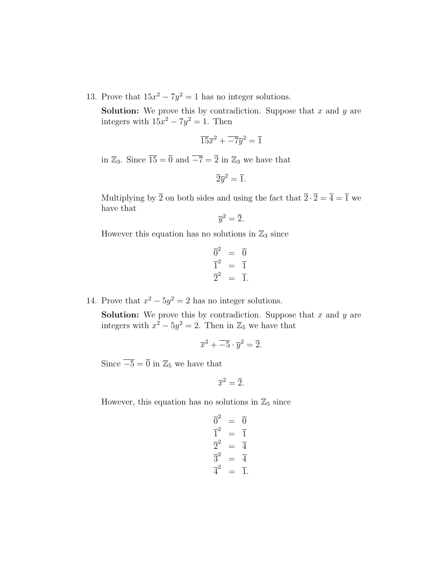13. Prove that  $15x^2 - 7y^2 = 1$  has no integer solutions.

**Solution:** We prove this by contradiction. Suppose that  $x$  and  $y$  are integers with  $15x^2 - 7y^2 = 1$ . Then

$$
\overline{15}\overline{x}^2 + \overline{-7}\overline{y}^2 = \overline{1}
$$

in  $\mathbb{Z}_3$ . Since  $\overline{15} = \overline{0}$  and  $\overline{-7} = \overline{2}$  in  $\mathbb{Z}_3$  we have that

$$
\overline{2}\overline{y}^2 = \overline{1}.
$$

Multiplying by  $\overline{2}$  on both sides and using the fact that  $\overline{2} \cdot \overline{2} = \overline{4} = \overline{1}$  we have that

$$
\overline{y}^2 = \overline{2}.
$$

However this equation has no solutions in  $\mathbb{Z}_3$  since

$$
\overline{0}^2 = \overline{0}
$$
  

$$
\overline{1}^2 = \overline{1}
$$
  

$$
\overline{2}^2 = \overline{1}.
$$

14. Prove that  $x^2 - 5y^2 = 2$  has no integer solutions.

**Solution:** We prove this by contradiction. Suppose that  $x$  and  $y$  are integers with  $x^2 - 5y^2 = 2$ . Then in  $\mathbb{Z}_5$  we have that

$$
\overline{x}^2 + \overline{-5} \cdot \overline{y}^2 = \overline{2}.
$$

Since  $\overline{-5} = \overline{0}$  in  $\mathbb{Z}_5$  we have that

$$
\overline{x}^2 = \overline{2}.
$$

However, this equation has no solutions in  $\mathbb{Z}_5$  since

$$
\overline{0}^2 = \overline{0}
$$
  

$$
\overline{1}^2 = \overline{1}
$$
  

$$
\overline{2}^2 = \overline{4}
$$
  

$$
\overline{3}^2 = \overline{4}
$$
  

$$
\overline{4}^2 = \overline{1}.
$$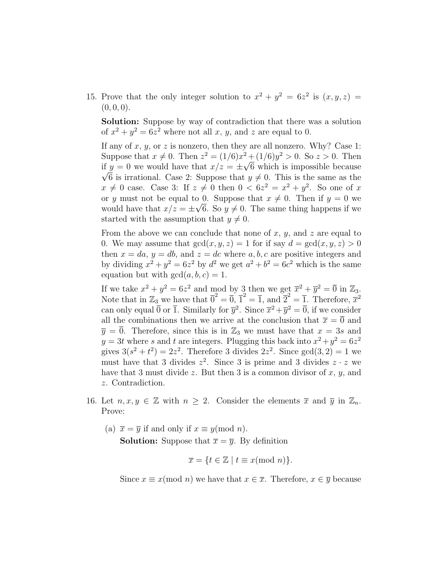15. Prove that the only integer solution to  $x^2 + y^2 = 6z^2$  is  $(x, y, z) =$  $(0, 0, 0).$ 

Solution: Suppose by way of contradiction that there was a solution of  $x^2 + y^2 = 6z^2$  where not all x, y, and z are equal to 0.

If any of x, y, or z is nonzero, then they are all nonzero. Why? Case 1: Suppose that  $x \neq 0$ . Then  $z^2 = (1/6)x^2 + (1/6)y^2 > 0$ . So  $z > 0$ . Then if  $y = 0$  we would have that  $x/z = \pm \sqrt{6}$  which is impossible because  $\sqrt{6}$  is irrational. Case 2: Suppose that  $y \neq 0$ . This is the same as the  $x \neq 0$  case. Case 3: If  $z \neq 0$  then  $0 < 6z^2 = x^2 + y^2$ . So one of x or y must not be equal to 0. Suppose that  $x \neq 0$ . Then if  $y = 0$  we would have that  $x/z = \pm \sqrt{6}$ . So  $y \neq 0$ . The same thing happens if we started with the assumption that  $y \neq 0$ .

From the above we can conclude that none of  $x, y$ , and  $z$  are equal to 0. We may assume that  $gcd(x, y, z) = 1$  for if say  $d = gcd(x, y, z) > 0$ then  $x = da$ ,  $y = db$ , and  $z = dc$  where  $a, b, c$  are positive integers and by dividing  $x^2 + y^2 = 6z^2$  by  $d^2$  we get  $a^2 + b^2 = 6c^2$  which is the same equation but with  $gcd(a, b, c) = 1$ .

If we take  $x^2 + y^2 = 6z^2$  and mod by 3 then we get  $\overline{x}^2 + \overline{y}^2 = 0$  in  $\mathbb{Z}_3$ . Note that in  $\mathbb{Z}_3$  we have that  $\overline{0}^2 = \overline{0}$ ,  $\overline{1}^2 = \overline{1}$ , and  $\overline{2}^2 = \overline{1}$ . Therefore,  $\overline{x}^2$ can only equal  $\overline{0}$  or  $\overline{1}$ . Similarly for  $\overline{y}^2$ . Since  $\overline{x}^2 + \overline{y}^2 = \overline{0}$ , if we consider all the combinations then we arrive at the conclusion that  $\bar{x} = \bar{0}$  and  $\overline{y} = \overline{0}$ . Therefore, since this is in  $\mathbb{Z}_3$  we must have that  $x = 3s$  and  $y = 3t$  where s and t are integers. Plugging this back into  $x^2 + y^2 = 6z^2$ gives  $3(s^2 + t^2) = 2z^2$ . Therefore 3 divides  $2z^2$ . Since  $gcd(3, 2) = 1$  we must have that 3 divides  $z^2$ . Since 3 is prime and 3 divides  $z \cdot z$  we have that 3 must divide z. But then 3 is a common divisor of  $x, y$ , and z. Contradiction.

- 16. Let  $n, x, y \in \mathbb{Z}$  with  $n \geq 2$ . Consider the elements  $\overline{x}$  and  $\overline{y}$  in  $\mathbb{Z}_n$ . Prove:
	- (a)  $\bar{x} = \bar{y}$  if and only if  $x \equiv y \pmod{n}$ .

**Solution:** Suppose that  $\overline{x} = \overline{y}$ . By definition

$$
\overline{x} = \{ t \in \mathbb{Z} \mid t \equiv x \pmod{n} \}.
$$

Since  $x \equiv x \pmod{n}$  we have that  $x \in \overline{x}$ . Therefore,  $x \in \overline{y}$  because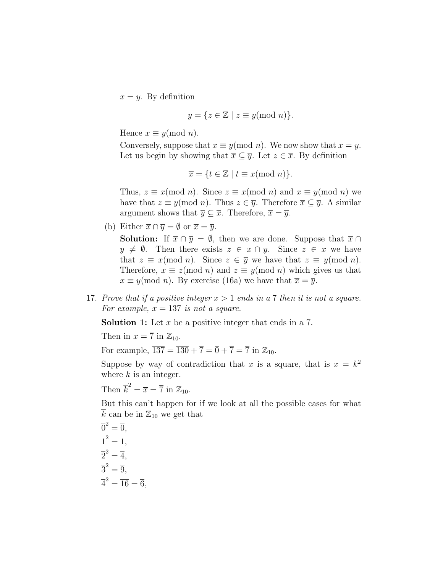$\overline{x} = \overline{y}$ . By definition

$$
\overline{y} = \{ z \in \mathbb{Z} \mid z \equiv y \pmod{n} \}.
$$

Hence  $x \equiv y \pmod{n}$ .

Conversely, suppose that  $x \equiv y \pmod{n}$ . We now show that  $\overline{x} = \overline{y}$ . Let us begin by showing that  $\overline{x} \subseteq \overline{y}$ . Let  $z \in \overline{x}$ . By definition

$$
\overline{x} = \{ t \in \mathbb{Z} \mid t \equiv x \pmod{n} \}.
$$

Thus,  $z \equiv x \pmod{n}$ . Since  $z \equiv x \pmod{n}$  and  $x \equiv y \pmod{n}$  we have that  $z \equiv y \pmod{n}$ . Thus  $z \in \overline{y}$ . Therefore  $\overline{x} \subseteq \overline{y}$ . A similar argument shows that  $\overline{y} \subseteq \overline{x}$ . Therefore,  $\overline{x} = \overline{y}$ .

(b) Either  $\overline{x} \cap \overline{y} = \emptyset$  or  $\overline{x} = \overline{y}$ .

**Solution:** If  $\overline{x} \cap \overline{y} = \emptyset$ , then we are done. Suppose that  $\overline{x} \cap \overline{y} = \emptyset$ .  $\overline{y} \neq \emptyset$ . Then there exists  $z \in \overline{x} \cap \overline{y}$ . Since  $z \in \overline{x}$  we have that  $z \equiv x \pmod{n}$ . Since  $z \in \overline{y}$  we have that  $z \equiv y \pmod{n}$ . Therefore,  $x \equiv z \pmod{n}$  and  $z \equiv y \pmod{n}$  which gives us that  $x \equiv y \pmod{n}$ . By exercise (16a) we have that  $\overline{x} = \overline{y}$ .

17. Prove that if a positive integer  $x > 1$  ends in a 7 then it is not a square. For example,  $x = 137$  is not a square.

**Solution 1:** Let  $x$  be a positive integer that ends in a 7.

Then in  $\bar{x} = \bar{7}$  in  $\mathbb{Z}_{10}$ .

For example,  $\overline{137} = \overline{130} + \overline{7} = \overline{0} + \overline{7} = \overline{7}$  in  $\mathbb{Z}_{10}$ .

Suppose by way of contradiction that x is a square, that is  $x = k^2$ where  $k$  is an integer.

Then  $\overline{k}^2 = \overline{x} = \overline{7}$  in  $\mathbb{Z}_{10}$ .

But this can't happen for if we look at all the possible cases for what  $\overline{k}$  can be in  $\mathbb{Z}_{10}$  we get that

$$
\overline{0}^2 = \overline{0},
$$
  
\n
$$
\overline{1}^2 = \overline{1},
$$
  
\n
$$
\overline{2}^2 = \overline{4},
$$
  
\n
$$
\overline{3}^2 = \overline{9},
$$
  
\n
$$
\overline{4}^2 = \overline{16} = \overline{6},
$$